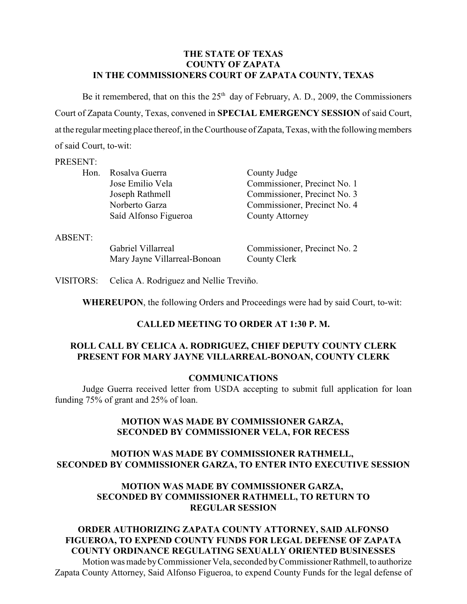## **THE STATE OF TEXAS COUNTY OF ZAPATA IN THE COMMISSIONERS COURT OF ZAPATA COUNTY, TEXAS**

Be it remembered, that on this the  $25<sup>th</sup>$  day of February, A. D., 2009, the Commissioners Court of Zapata County, Texas, convened in **SPECIAL EMERGENCY SESSION** of said Court, at the regular meeting place thereof, in the Courthouse of Zapata, Texas, with the following members of said Court, to-wit:

#### PRESENT:

| Hon.           | Rosalva Guerra               | County Judge                 |
|----------------|------------------------------|------------------------------|
|                | Jose Emilio Vela             | Commissioner, Precinct No. 1 |
|                | Joseph Rathmell              | Commissioner, Precinct No. 3 |
|                | Norberto Garza               | Commissioner, Precinct No. 4 |
|                | Saíd Alfonso Figueroa        | <b>County Attorney</b>       |
| <b>ABSENT:</b> |                              |                              |
|                | Gabriel Villarreal           | Commissioner, Precinct No. 2 |
|                | Mary Jayne Villarreal-Bonoan | County Clerk                 |

VISITORS: Celica A. Rodriguez and Nellie Treviño.

**WHEREUPON**, the following Orders and Proceedings were had by said Court, to-wit:

## **CALLED MEETING TO ORDER AT 1:30 P. M.**

# **ROLL CALL BY CELICA A. RODRIGUEZ, CHIEF DEPUTY COUNTY CLERK PRESENT FOR MARY JAYNE VILLARREAL-BONOAN, COUNTY CLERK**

#### **COMMUNICATIONS**

Judge Guerra received letter from USDA accepting to submit full application for loan funding 75% of grant and 25% of loan.

## **MOTION WAS MADE BY COMMISSIONER GARZA, SECONDED BY COMMISSIONER VELA, FOR RECESS**

# **MOTION WAS MADE BY COMMISSIONER RATHMELL, SECONDED BY COMMISSIONER GARZA, TO ENTER INTO EXECUTIVE SESSION**

## **MOTION WAS MADE BY COMMISSIONER GARZA, SECONDED BY COMMISSIONER RATHMELL, TO RETURN TO REGULAR SESSION**

#### **ORDER AUTHORIZING ZAPATA COUNTY ATTORNEY, SAID ALFONSO FIGUEROA, TO EXPEND COUNTY FUNDS FOR LEGAL DEFENSE OF ZAPATA COUNTY ORDINANCE REGULATING SEXUALLY ORIENTED BUSINESSES** Motion was made by Commissioner Vela, seconded by Commissioner Rathmell, to authorize Zapata County Attorney, Said Alfonso Figueroa, to expend County Funds for the legal defense of